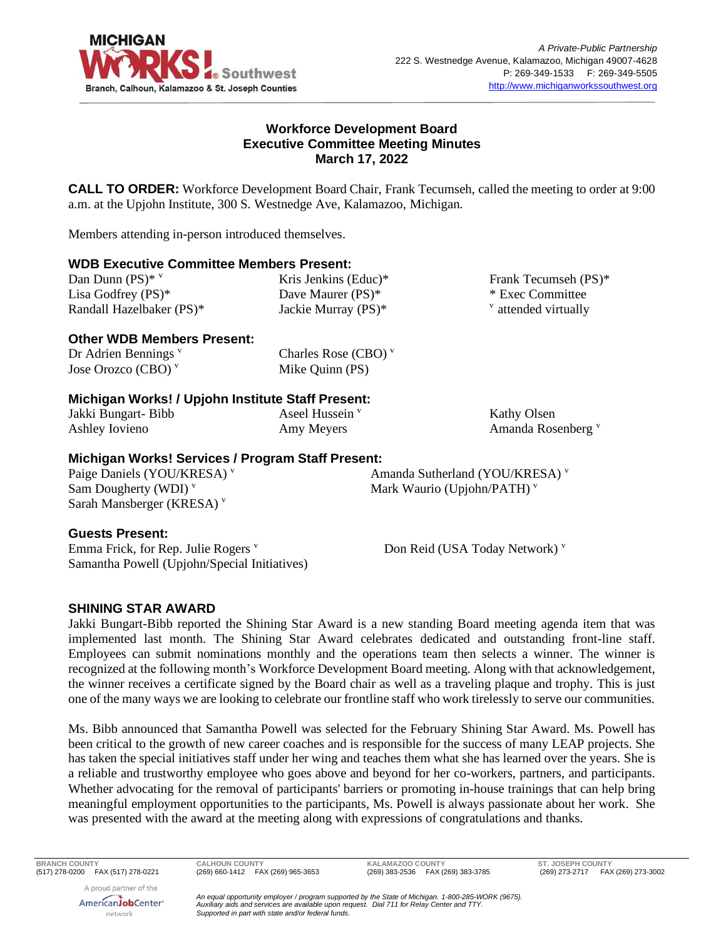

## **Workforce Development Board Executive Committee Meeting Minutes March 17, 2022**

**CALL TO ORDER:** Workforce Development Board Chair, Frank Tecumseh, called the meeting to order at 9:00 a.m. at the Upjohn Institute, 300 S. Westnedge Ave, Kalamazoo, Michigan.

Members attending in-person introduced themselves.

#### **WDB Executive Committee Members Present:**

| Dan Dunn $(PS)^*$ v      |  |
|--------------------------|--|
| Lisa Godfrey $(PS)^*$    |  |
| Randall Hazelbaker (PS)* |  |

Kris Jenkins (Educ)\* Dave Maurer (PS)\* Jackie Murray (PS)\*

#### Frank Tecumseh (PS)\* \* Exec Committee  $\theta$  attended virtually

## **Other WDB Members Present:**

| Dr Adrien Bennings $v$ |  |
|------------------------|--|
| Jose Orozco (CBO) $v$  |  |

Charles Rose (CBO) <sup>v</sup> Mike Quinn (PS)

#### **Michigan Works! / Upjohn Institute Staff Present:**

Jakki Bungart- Bibb Ashley Iovieno

Aseel Hussein<sup>v</sup> Amy Meyers

Kathy Olsen Amanda Rosenberg<sup>v</sup>

## **Michigan Works! Services / Program Staff Present:**

Paige Daniels (YOU/KRESA) v Sam Dougherty (WDI) $v$ Sarah Mansberger (KRESA)<sup>v</sup>

Amanda Sutherland (YOU/KRESA) <sup>v</sup> Mark Waurio (Upjohn/PATH) v

## **Guests Present:**

Emma Frick, for Rep. Julie Rogers  $\overline{v}$ Samantha Powell (Upjohn/Special Initiatives) Don Reid (USA Today Network) v

## **SHINING STAR AWARD**

Jakki Bungart-Bibb reported the Shining Star Award is a new standing Board meeting agenda item that was implemented last month. The Shining Star Award celebrates dedicated and outstanding front-line staff. Employees can submit nominations monthly and the operations team then selects a winner. The winner is recognized at the following month's Workforce Development Board meeting. Along with that acknowledgement, the winner receives a certificate signed by the Board chair as well as a traveling plaque and trophy. This is just one of the many ways we are looking to celebrate our frontline staff who work tirelessly to serve our communities.

Ms. Bibb announced that Samantha Powell was selected for the February Shining Star Award. Ms. Powell has been critical to the growth of new career coaches and is responsible for the success of many LEAP projects. She has taken the special initiatives staff under her wing and teaches them what she has learned over the years. She is a reliable and trustworthy employee who goes above and beyond for her co-workers, partners, and participants. Whether advocating for the removal of participants' barriers or promoting in-house trainings that can help bring meaningful employment opportunities to the participants, Ms. Powell is always passionate about her work. She was presented with the award at the meeting along with expressions of congratulations and thanks.

**BRANCH COUNTY CALHOUN COUNTY KALAMAZOO COUNTY ST. JOSEPH COUNTY**

(269) 273-2717 FAX (269) 273-3002

A proud partner of the AmericanJobCenter<sup>®</sup> network

*An equal opportunity employer / program supported by the State of Michigan. 1-800-285-WORK (9675). Auxiliary aids and services are available upon request. Dial 711 for Relay Center and TTY. Supported in part with state and/or federal funds.*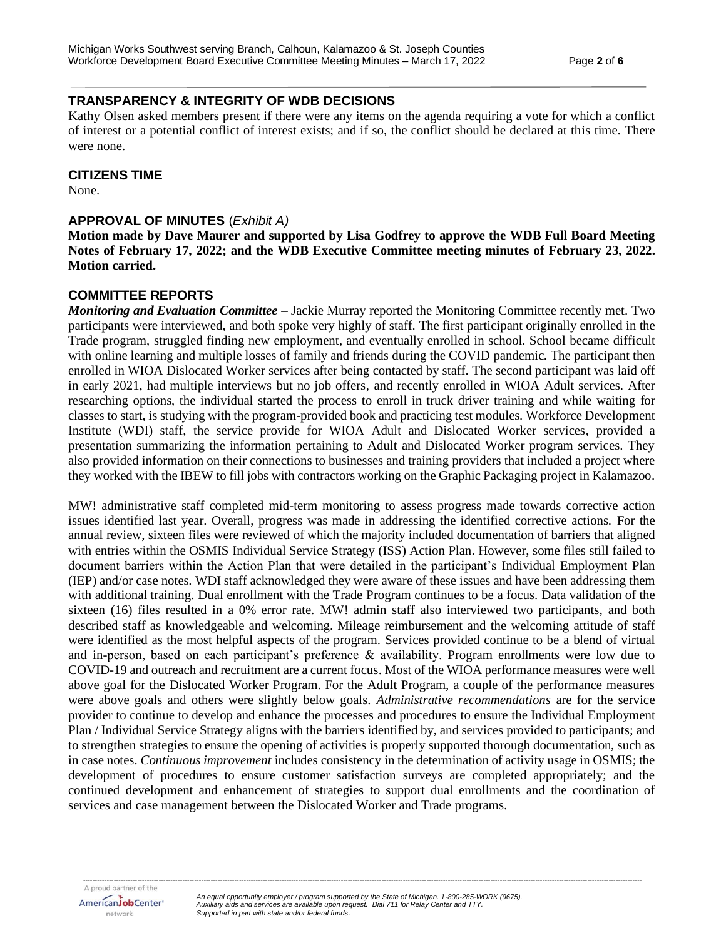## **TRANSPARENCY & INTEGRITY OF WDB DECISIONS**

Kathy Olsen asked members present if there were any items on the agenda requiring a vote for which a conflict of interest or a potential conflict of interest exists; and if so, the conflict should be declared at this time. There were none.

#### **CITIZENS TIME**

None.

#### **APPROVAL OF MINUTES** (*Exhibit A)*

**Motion made by Dave Maurer and supported by Lisa Godfrey to approve the WDB Full Board Meeting Notes of February 17, 2022; and the WDB Executive Committee meeting minutes of February 23, 2022. Motion carried.**

#### **COMMITTEE REPORTS**

*Monitoring and Evaluation Committee –* Jackie Murray reported the Monitoring Committee recently met. Two participants were interviewed, and both spoke very highly of staff. The first participant originally enrolled in the Trade program, struggled finding new employment, and eventually enrolled in school. School became difficult with online learning and multiple losses of family and friends during the COVID pandemic. The participant then enrolled in WIOA Dislocated Worker services after being contacted by staff. The second participant was laid off in early 2021, had multiple interviews but no job offers, and recently enrolled in WIOA Adult services. After researching options, the individual started the process to enroll in truck driver training and while waiting for classes to start, is studying with the program-provided book and practicing test modules. Workforce Development Institute (WDI) staff, the service provide for WIOA Adult and Dislocated Worker services, provided a presentation summarizing the information pertaining to Adult and Dislocated Worker program services. They also provided information on their connections to businesses and training providers that included a project where they worked with the IBEW to fill jobs with contractors working on the Graphic Packaging project in Kalamazoo.

MW! administrative staff completed mid-term monitoring to assess progress made towards corrective action issues identified last year. Overall, progress was made in addressing the identified corrective actions. For the annual review, sixteen files were reviewed of which the majority included documentation of barriers that aligned with entries within the OSMIS Individual Service Strategy (ISS) Action Plan. However, some files still failed to document barriers within the Action Plan that were detailed in the participant's Individual Employment Plan (IEP) and/or case notes. WDI staff acknowledged they were aware of these issues and have been addressing them with additional training. Dual enrollment with the Trade Program continues to be a focus. Data validation of the sixteen (16) files resulted in a 0% error rate. MW! admin staff also interviewed two participants, and both described staff as knowledgeable and welcoming. Mileage reimbursement and the welcoming attitude of staff were identified as the most helpful aspects of the program. Services provided continue to be a blend of virtual and in-person, based on each participant's preference & availability. Program enrollments were low due to COVID-19 and outreach and recruitment are a current focus. Most of the WIOA performance measures were well above goal for the Dislocated Worker Program. For the Adult Program, a couple of the performance measures were above goals and others were slightly below goals. *Administrative recommendations* are for the service provider to continue to develop and enhance the processes and procedures to ensure the Individual Employment Plan / Individual Service Strategy aligns with the barriers identified by, and services provided to participants; and to strengthen strategies to ensure the opening of activities is properly supported thorough documentation, such as in case notes. *Continuous improvement* includes consistency in the determination of activity usage in OSMIS; the development of procedures to ensure customer satisfaction surveys are completed appropriately; and the continued development and enhancement of strategies to support dual enrollments and the coordination of services and case management between the Dislocated Worker and Trade programs.

*--------------------------------------------------------------------------------------------------------------------------------------------------------------------------------------------------------------------------------------------*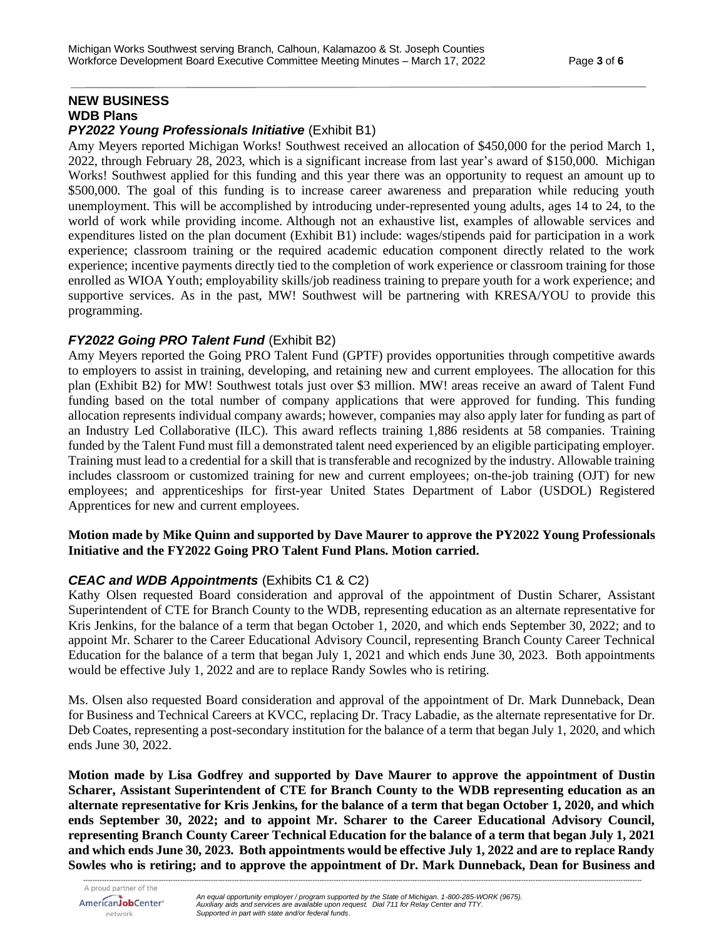# **NEW BUSINESS WDB Plans**

## *PY2022 Young Professionals Initiative* (Exhibit B1)

Amy Meyers reported Michigan Works! Southwest received an allocation of \$450,000 for the period March 1, 2022, through February 28, 2023, which is a significant increase from last year's award of \$150,000. Michigan Works! Southwest applied for this funding and this year there was an opportunity to request an amount up to \$500,000. The goal of this funding is to increase career awareness and preparation while reducing youth unemployment. This will be accomplished by introducing under-represented young adults, ages 14 to 24, to the world of work while providing income. Although not an exhaustive list, examples of allowable services and expenditures listed on the plan document (Exhibit B1) include: wages/stipends paid for participation in a work experience; classroom training or the required academic education component directly related to the work experience; incentive payments directly tied to the completion of work experience or classroom training for those enrolled as WIOA Youth; employability skills/job readiness training to prepare youth for a work experience; and supportive services. As in the past, MW! Southwest will be partnering with KRESA/YOU to provide this programming.

## *FY2022 Going PRO Talent Fund* (Exhibit B2)

Amy Meyers reported the Going PRO Talent Fund (GPTF) provides opportunities through competitive awards to employers to assist in training, developing, and retaining new and current employees. The allocation for this plan (Exhibit B2) for MW! Southwest totals just over \$3 million. MW! areas receive an award of Talent Fund funding based on the total number of company applications that were approved for funding. This funding allocation represents individual company awards; however, companies may also apply later for funding as part of an Industry Led Collaborative (ILC). This award reflects training 1,886 residents at 58 companies. Training funded by the Talent Fund must fill a demonstrated talent need experienced by an eligible participating employer. Training must lead to a credential for a skill that is transferable and recognized by the industry. Allowable training includes classroom or customized training for new and current employees; on-the-job training (OJT) for new employees; and apprenticeships for first-year United States Department of Labor (USDOL) Registered Apprentices for new and current employees.

#### **Motion made by Mike Quinn and supported by Dave Maurer to approve the PY2022 Young Professionals Initiative and the FY2022 Going PRO Talent Fund Plans. Motion carried.**

## *CEAC and WDB Appointments* (Exhibits C1 & C2)

Kathy Olsen requested Board consideration and approval of the appointment of Dustin Scharer, Assistant Superintendent of CTE for Branch County to the WDB, representing education as an alternate representative for Kris Jenkins, for the balance of a term that began October 1, 2020, and which ends September 30, 2022; and to appoint Mr. Scharer to the Career Educational Advisory Council, representing Branch County Career Technical Education for the balance of a term that began July 1, 2021 and which ends June 30, 2023. Both appointments would be effective July 1, 2022 and are to replace Randy Sowles who is retiring.

Ms. Olsen also requested Board consideration and approval of the appointment of Dr. Mark Dunneback, Dean for Business and Technical Careers at KVCC, replacing Dr. Tracy Labadie, as the alternate representative for Dr. Deb Coates, representing a post-secondary institution for the balance of a term that began July 1, 2020, and which ends June 30, 2022.

**Motion made by Lisa Godfrey and supported by Dave Maurer to approve the appointment of Dustin Scharer, Assistant Superintendent of CTE for Branch County to the WDB representing education as an alternate representative for Kris Jenkins, for the balance of a term that began October 1, 2020, and which ends September 30, 2022; and to appoint Mr. Scharer to the Career Educational Advisory Council, representing Branch County Career Technical Education for the balance of a term that began July 1, 2021 and which ends June 30, 2023. Both appointments would be effective July 1, 2022 and are to replace Randy Sowles who is retiring; and to approve the appointment of Dr. Mark Dunneback, Dean for Business and**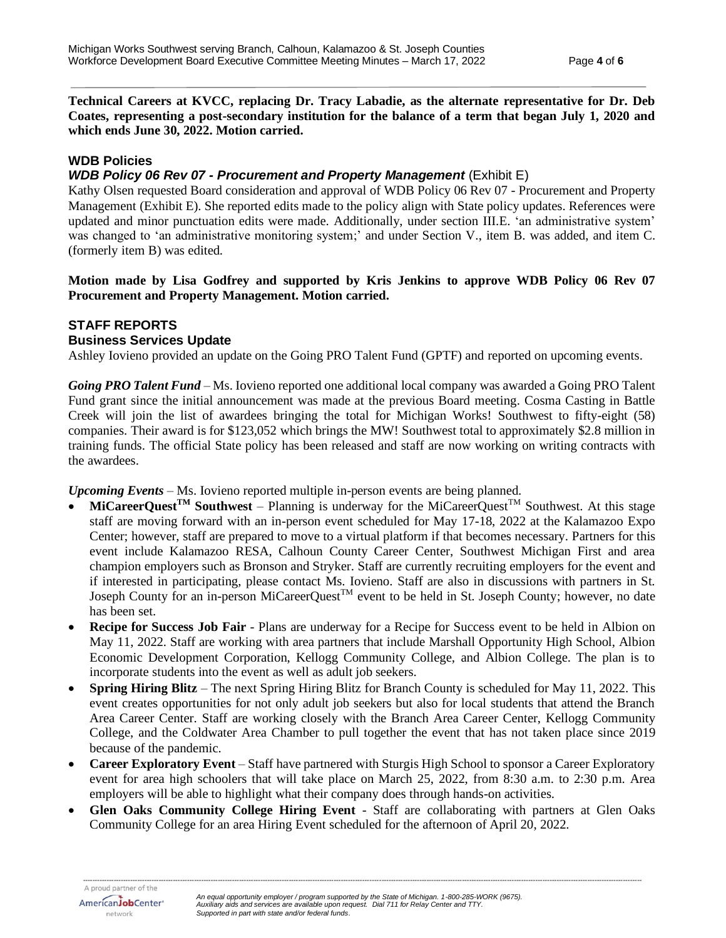**Technical Careers at KVCC, replacing Dr. Tracy Labadie, as the alternate representative for Dr. Deb Coates, representing a post-secondary institution for the balance of a term that began July 1, 2020 and which ends June 30, 2022. Motion carried.**

## **WDB Policies**

#### *WDB Policy 06 Rev 07 - Procurement and Property Management* (Exhibit E)

Kathy Olsen requested Board consideration and approval of WDB Policy 06 Rev 07 - Procurement and Property Management (Exhibit E). She reported edits made to the policy align with State policy updates. References were updated and minor punctuation edits were made. Additionally, under section III.E. 'an administrative system' was changed to 'an administrative monitoring system;' and under Section V., item B. was added, and item C. (formerly item B) was edited.

**Motion made by Lisa Godfrey and supported by Kris Jenkins to approve WDB Policy 06 Rev 07 Procurement and Property Management. Motion carried.**

#### **STAFF REPORTS Business Services Update**

Ashley Iovieno provided an update on the Going PRO Talent Fund (GPTF) and reported on upcoming events.

*Going PRO Talent Fund* – Ms. Iovieno reported one additional local company was awarded a Going PRO Talent Fund grant since the initial announcement was made at the previous Board meeting. Cosma Casting in Battle Creek will join the list of awardees bringing the total for Michigan Works! Southwest to fifty-eight (58) companies. Their award is for \$123,052 which brings the MW! Southwest total to approximately \$2.8 million in training funds. The official State policy has been released and staff are now working on writing contracts with the awardees.

*Upcoming Events* – Ms. Iovieno reported multiple in-person events are being planned.

- $\text{MiC}$ **areerQuest**<sup>TM</sup> **Southwest** Planning is underway for the MiCareerQuest<sup>TM</sup> Southwest. At this stage staff are moving forward with an in-person event scheduled for May 17-18, 2022 at the Kalamazoo Expo Center; however, staff are prepared to move to a virtual platform if that becomes necessary. Partners for this event include Kalamazoo RESA, Calhoun County Career Center, Southwest Michigan First and area champion employers such as Bronson and Stryker. Staff are currently recruiting employers for the event and if interested in participating, please contact Ms. Iovieno. Staff are also in discussions with partners in St. Joseph County for an in-person MiCareerQuest<sup>TM</sup> event to be held in St. Joseph County; however, no date has been set.
- **Recipe for Success Job Fair** Plans are underway for a Recipe for Success event to be held in Albion on May 11, 2022. Staff are working with area partners that include Marshall Opportunity High School, Albion Economic Development Corporation, Kellogg Community College, and Albion College. The plan is to incorporate students into the event as well as adult job seekers.
- **Spring Hiring Blitz** The next Spring Hiring Blitz for Branch County is scheduled for May 11, 2022. This event creates opportunities for not only adult job seekers but also for local students that attend the Branch Area Career Center. Staff are working closely with the Branch Area Career Center, Kellogg Community College, and the Coldwater Area Chamber to pull together the event that has not taken place since 2019 because of the pandemic.
- **Career Exploratory Event**  Staff have partnered with Sturgis High School to sponsor a Career Exploratory event for area high schoolers that will take place on March 25, 2022, from 8:30 a.m. to 2:30 p.m. Area employers will be able to highlight what their company does through hands-on activities.
- **Glen Oaks Community College Hiring Event** Staff are collaborating with partners at Glen Oaks Community College for an area Hiring Event scheduled for the afternoon of April 20, 2022.

*--------------------------------------------------------------------------------------------------------------------------------------------------------------------------------------------------------------------------------------------*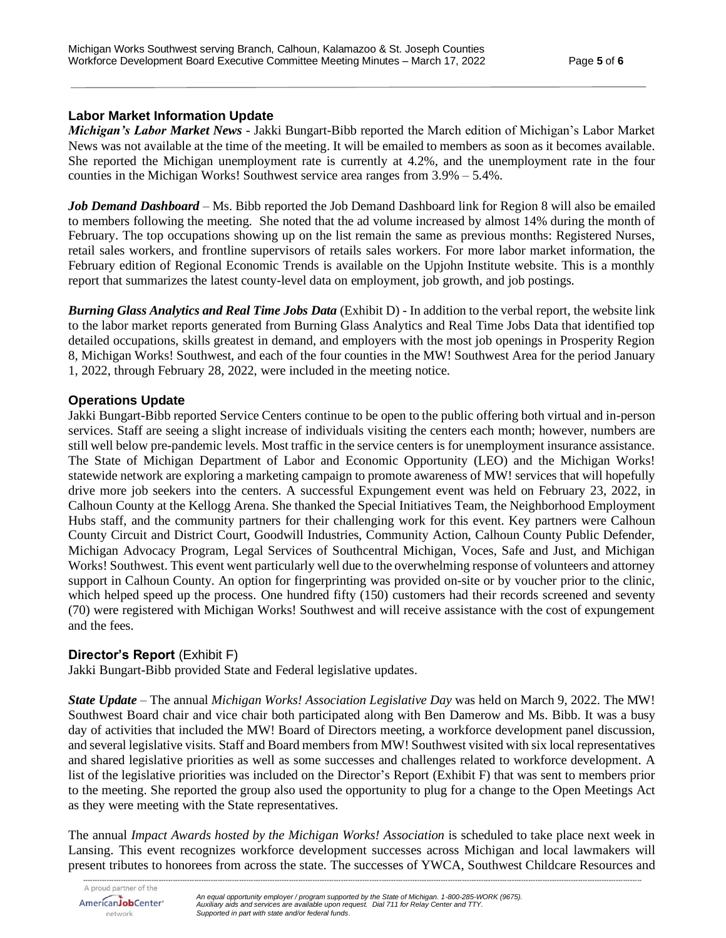## **Labor Market Information Update**

*Michigan's Labor Market News* - Jakki Bungart-Bibb reported the March edition of Michigan's Labor Market News was not available at the time of the meeting. It will be emailed to members as soon as it becomes available. She reported the Michigan unemployment rate is currently at 4.2%, and the unemployment rate in the four counties in the Michigan Works! Southwest service area ranges from 3.9% – 5.4%.

*Job Demand Dashboard* – Ms. Bibb reported the Job Demand Dashboard link for Region 8 will also be emailed to members following the meeting. She noted that the ad volume increased by almost 14% during the month of February. The top occupations showing up on the list remain the same as previous months: Registered Nurses, retail sales workers, and frontline supervisors of retails sales workers. For more labor market information, the February edition of Regional Economic Trends is available on the Upjohn Institute website. This is a monthly report that summarizes the latest county-level data on employment, job growth, and job postings.

*Burning Glass Analytics and Real Time Jobs Data* (Exhibit D) *-* In addition to the verbal report, the website link to the labor market reports generated from Burning Glass Analytics and Real Time Jobs Data that identified top detailed occupations, skills greatest in demand, and employers with the most job openings in Prosperity Region 8, Michigan Works! Southwest, and each of the four counties in the MW! Southwest Area for the period January 1, 2022, through February 28, 2022, were included in the meeting notice.

## **Operations Update**

Jakki Bungart-Bibb reported Service Centers continue to be open to the public offering both virtual and in-person services. Staff are seeing a slight increase of individuals visiting the centers each month; however, numbers are still well below pre-pandemic levels. Most traffic in the service centers is for unemployment insurance assistance. The State of Michigan Department of Labor and Economic Opportunity (LEO) and the Michigan Works! statewide network are exploring a marketing campaign to promote awareness of MW! services that will hopefully drive more job seekers into the centers. A successful Expungement event was held on February 23, 2022, in Calhoun County at the Kellogg Arena. She thanked the Special Initiatives Team, the Neighborhood Employment Hubs staff, and the community partners for their challenging work for this event. Key partners were Calhoun County Circuit and District Court, Goodwill Industries, Community Action, Calhoun County Public Defender, Michigan Advocacy Program, Legal Services of Southcentral Michigan, Voces, Safe and Just, and Michigan Works! Southwest. This event went particularly well due to the overwhelming response of volunteers and attorney support in Calhoun County. An option for fingerprinting was provided on-site or by voucher prior to the clinic, which helped speed up the process. One hundred fifty (150) customers had their records screened and seventy (70) were registered with Michigan Works! Southwest and will receive assistance with the cost of expungement and the fees.

## **Director's Report** (Exhibit F)

Jakki Bungart-Bibb provided State and Federal legislative updates.

*State Update* – The annual *Michigan Works! Association Legislative Day* was held on March 9, 2022. The MW! Southwest Board chair and vice chair both participated along with Ben Damerow and Ms. Bibb. It was a busy day of activities that included the MW! Board of Directors meeting, a workforce development panel discussion, and several legislative visits. Staff and Board members from MW! Southwest visited with six local representatives and shared legislative priorities as well as some successes and challenges related to workforce development. A list of the legislative priorities was included on the Director's Report (Exhibit F) that was sent to members prior to the meeting. She reported the group also used the opportunity to plug for a change to the Open Meetings Act as they were meeting with the State representatives.

The annual *Impact Awards hosted by the Michigan Works! Association* is scheduled to take place next week in Lansing. This event recognizes workforce development successes across Michigan and local lawmakers will present tributes to honorees from across the state. The successes of YWCA, Southwest Childcare Resources and